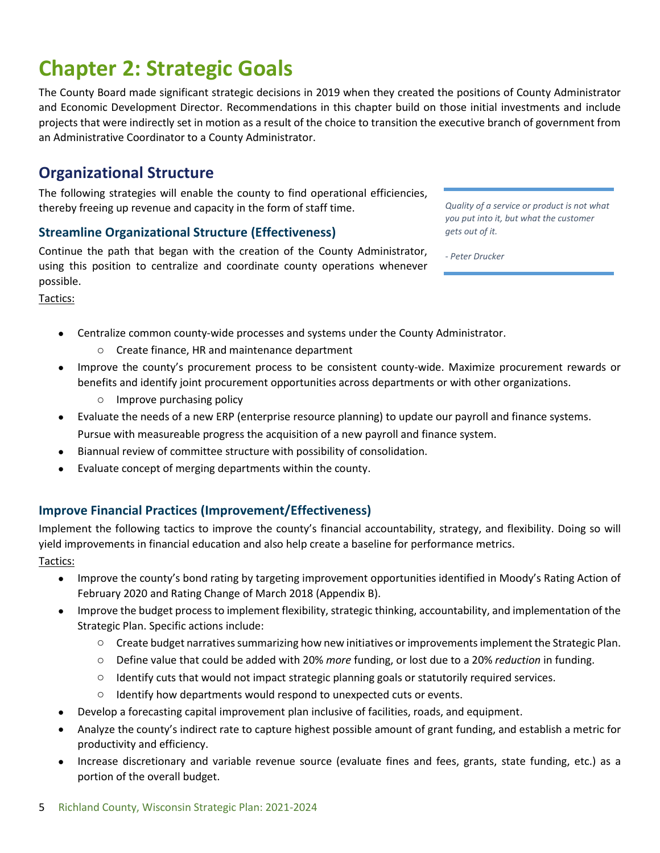#### 5 Richland County, Wisconsin Strategic Plan: 2021-2024

# **Chapter 2: Strategic Goals**

The County Board made significant strategic decisions in 2019 when they created the positions of County Administrator and Economic Development Director. Recommendations in this chapter build on those initial investments and include projects that were indirectly set in motion as a result of the choice to transition the executive branch of government from an Administrative Coordinator to a County Administrator.

# **Organizational Structure**

The following strategies will enable the county to find operational efficiencies, thereby freeing up revenue and capacity in the form of staff time.

### **Streamline Organizational Structure (Effectiveness)**

Continue the path that began with the creation of the County Administrator, using this position to centralize and coordinate county operations whenever possible.

Tactics:

- Centralize common county-wide processes and systems under the County Administrator.
	- o Create finance, HR and maintenance department
- Improve the county's procurement process to be consistent county-wide. Maximize procurement rewards or benefits and identify joint procurement opportunities across departments or with other organizations.
	- o Improve purchasing policy
- Evaluate the needs of a new ERP (enterprise resource planning) to update our payroll and finance systems. Pursue with measureable progress the acquisition of a new payroll and finance system.
- Biannual review of committee structure with possibility of consolidation.
- Evaluate concept of merging departments within the county.

### **Improve Financial Practices (Improvement/Effectiveness)**

Implement the following tactics to improve the county's financial accountability, strategy, and flexibility. Doing so will yield improvements in financial education and also help create a baseline for performance metrics.

Tactics:

- Improve the county's bond rating by targeting improvement opportunities identified in Moody's Rating Action of February 2020 and Rating Change of March 2018 (Appendix B).
- Improve the budget process to implement flexibility, strategic thinking, accountability, and implementation of the Strategic Plan. Specific actions include:
	- o Create budget narratives summarizing how new initiatives or improvements implement the Strategic Plan.
	- o Define value that could be added with 20% *more* funding, or lost due to a 20% *reduction* in funding.
	- o Identify cuts that would not impact strategic planning goals or statutorily required services.
	- o Identify how departments would respond to unexpected cuts or events.
- Develop a forecasting capital improvement plan inclusive of facilities, roads, and equipment.
- Analyze the county's indirect rate to capture highest possible amount of grant funding, and establish a metric for productivity and efficiency.
- Increase discretionary and variable revenue source (evaluate fines and fees, grants, state funding, etc.) as a portion of the overall budget.

*Quality of a service or product is not what you put into it, but what the customer gets out of it.*

*- Peter Drucker*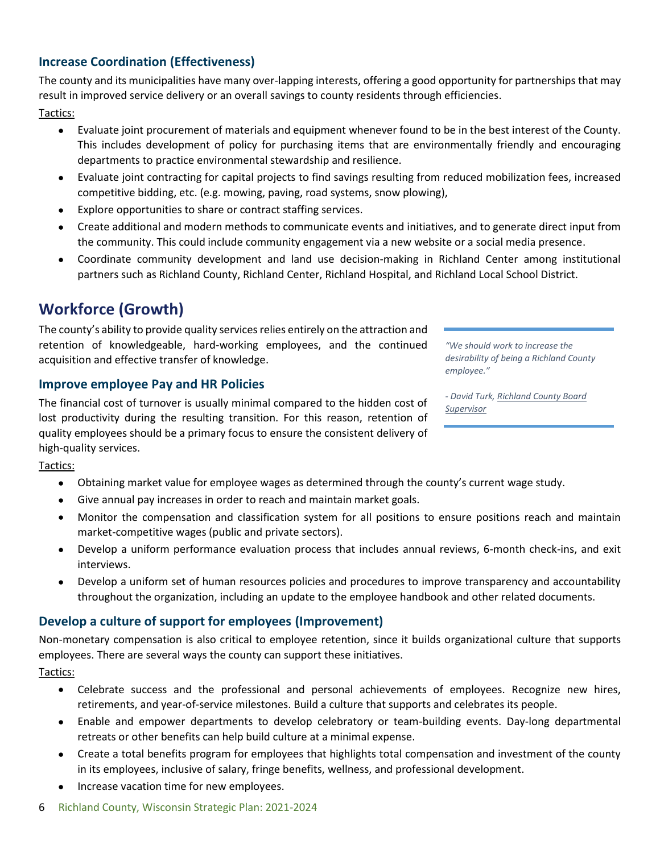### **Increase Coordination (Effectiveness)**

The county and its municipalities have many over-lapping interests, offering a good opportunity for partnerships that may result in improved service delivery or an overall savings to county residents through efficiencies.

Tactics:

- Evaluate joint procurement of materials and equipment whenever found to be in the best interest of the County. This includes development of policy for purchasing items that are environmentally friendly and encouraging departments to practice environmental stewardship and resilience.
- Evaluate joint contracting for capital projects to find savings resulting from reduced mobilization fees, increased competitive bidding, etc. (e.g. mowing, paving, road systems, snow plowing),
- Explore opportunities to share or contract staffing services.
- Create additional and modern methods to communicate events and initiatives, and to generate direct input from the community. This could include community engagement via a new website or a social media presence.
- Coordinate community development and land use decision-making in Richland Center among institutional partners such as Richland County, Richland Center, Richland Hospital, and Richland Local School District.

# **Workforce (Growth)**

The county's ability to provide quality services relies entirely on the attraction and retention of knowledgeable, hard-working employees, and the continued acquisition and effective transfer of knowledge.

### **Improve employee Pay and HR Policies**

The financial cost of turnover is usually minimal compared to the hidden cost of lost productivity during the resulting transition. For this reason, retention of quality employees should be a primary focus to ensure the consistent delivery of high-quality services.

Tactics:

- Obtaining market value for employee wages as determined through the county's current wage study.
- Give annual pay increases in order to reach and maintain market goals.
- Monitor the compensation and classification system for all positions to ensure positions reach and maintain market-competitive wages (public and private sectors).
- Develop a uniform performance evaluation process that includes annual reviews, 6-month check-ins, and exit interviews.
- Develop a uniform set of human resources policies and procedures to improve transparency and accountability throughout the organization, including an update to the employee handbook and other related documents.

### **Develop a culture of support for employees (Improvement)**

Non-monetary compensation is also critical to employee retention, since it builds organizational culture that supports employees. There are several ways the county can support these initiatives.

Tactics:

- Celebrate success and the professional and personal achievements of employees. Recognize new hires, retirements, and year-of-service milestones. Build a culture that supports and celebrates its people.
- Enable and empower departments to develop celebratory or team-building events. Day-long departmental retreats or other benefits can help build culture at a minimal expense.
- Create a total benefits program for employees that highlights total compensation and investment of the county in its employees, inclusive of salary, fringe benefits, wellness, and professional development.
- Increase vacation time for new employees.

*"We should work to increase the desirability of being a Richland County employee."*

*- David Turk, Richland County Board Supervisor*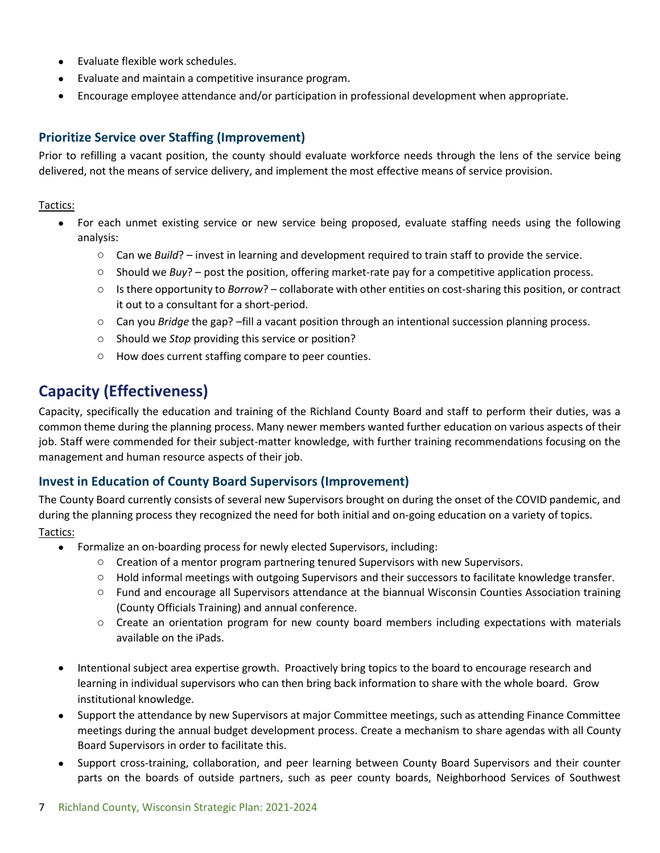- Evaluate flexible work schedules.
- Evaluate and maintain a competitive insurance program.
- Encourage employee attendance and/or participation in professional development when appropriate.

### **Prioritize Service over Staffing (Improvement)**

Prior to refilling a vacant position, the county should evaluate workforce needs through the lens of the service being delivered, not the means of service delivery, and implement the most effective means of service provision.

### Tactics:

- For each unmet existing service or new service being proposed, evaluate staffing needs using the following analysis:
	- o Can we *Build*? invest in learning and development required to train staff to provide the service.
	- o Should we *Buy*? post the position, offering market-rate pay for a competitive application process.
	- o Is there opportunity to *Borrow*? collaborate with other entities on cost-sharing this position, or contract it out to a consultant for a short-period.
	- o Can you *Bridge* the gap? –fill a vacant position through an intentional succession planning process.
	- o Should we *Stop* providing this service or position?
	- o How does current staffing compare to peer counties.

# **Capacity (Effectiveness)**

Capacity, specifically the education and training of the Richland County Board and staff to perform their duties, was a common theme during the planning process. Many newer members wanted further education on various aspects of their job. Staff were commended for their subject-matter knowledge, with further training recommendations focusing on the management and human resource aspects of their job.

### **Invest in Education of County Board Supervisors (Improvement)**

The County Board currently consists of several new Supervisors brought on during the onset of the COVID pandemic, and during the planning process they recognized the need for both initial and on-going education on a variety of topics. Tactics:

#### Formalize an on-boarding process for newly elected Supervisors, including:

- $\circ$  Creation of a mentor program partnering tenured Supervisors with new Supervisors.
- o Hold informal meetings with outgoing Supervisors and their successors to facilitate knowledge transfer.
- o Fund and encourage all Supervisors attendance at the biannual Wisconsin Counties Association training (County Officials Training) and annual conference.
- o Create an orientation program for new county board members including expectations with materials available on the iPads.
- Intentional subject area expertise growth. Proactively bring topics to the board to encourage research and learning in individual supervisors who can then bring back information to share with the whole board. Grow institutional knowledge.
- Support the attendance by new Supervisors at major Committee meetings, such as attending Finance Committee meetings during the annual budget development process. Create a mechanism to share agendas with all County Board Supervisors in order to facilitate this.
- Support cross-training, collaboration, and peer learning between County Board Supervisors and their counter parts on the boards of outside partners, such as peer county boards, Neighborhood Services of Southwest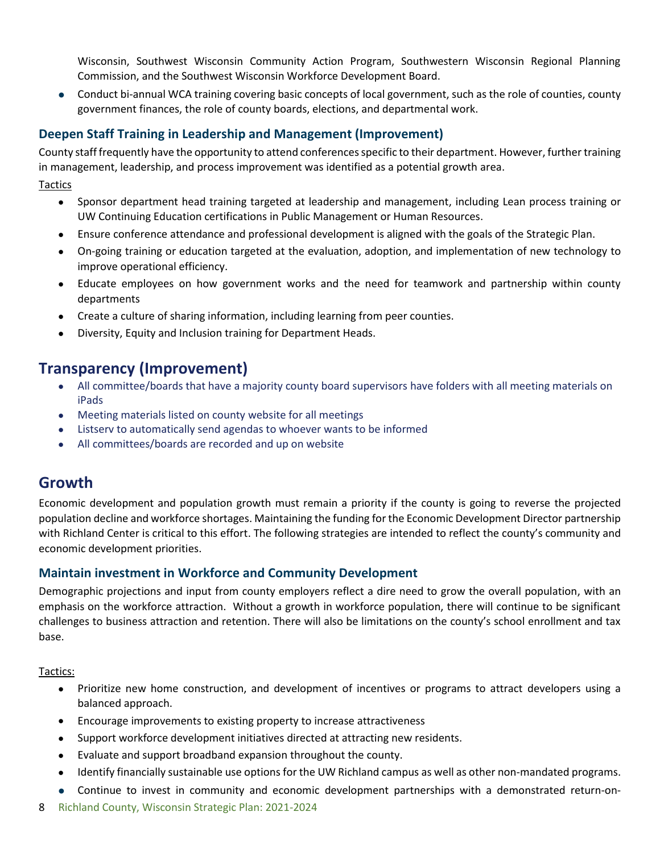Wisconsin, Southwest Wisconsin Community Action Program, Southwestern Wisconsin Regional Planning Commission, and the Southwest Wisconsin Workforce Development Board.

 Conduct bi-annual WCA training covering basic concepts of local government, such as the role of counties, county government finances, the role of county boards, elections, and departmental work.

### **Deepen Staff Training in Leadership and Management (Improvement)**

County staff frequently have the opportunity to attend conferences specific to their department. However, further training in management, leadership, and process improvement was identified as a potential growth area.

**Tactics** 

- Sponsor department head training targeted at leadership and management, including Lean process training or UW Continuing Education certifications in Public Management or Human Resources.
- Ensure conference attendance and professional development is aligned with the goals of the Strategic Plan.
- On-going training or education targeted at the evaluation, adoption, and implementation of new technology to improve operational efficiency.
- Educate employees on how government works and the need for teamwork and partnership within county departments
- Create a culture of sharing information, including learning from peer counties.
- Diversity, Equity and Inclusion training for Department Heads.

# **Transparency (Improvement)**

- All committee/boards that have a majority county board supervisors have folders with all meeting materials on iPads
- Meeting materials listed on county website for all meetings
- Listserv to automatically send agendas to whoever wants to be informed
- All committees/boards are recorded and up on website

## **Growth**

Economic development and population growth must remain a priority if the county is going to reverse the projected population decline and workforce shortages. Maintaining the funding for the Economic Development Director partnership with Richland Center is critical to this effort. The following strategies are intended to reflect the county's community and economic development priorities.

### **Maintain investment in Workforce and Community Development**

Demographic projections and input from county employers reflect a dire need to grow the overall population, with an emphasis on the workforce attraction. Without a growth in workforce population, there will continue to be significant challenges to business attraction and retention. There will also be limitations on the county's school enrollment and tax base.

Tactics:

- Prioritize new home construction, and development of incentives or programs to attract developers using a balanced approach.
- Encourage improvements to existing property to increase attractiveness
- Support workforce development initiatives directed at attracting new residents.
- Evaluate and support broadband expansion throughout the county.
- Identify financially sustainable use options for the UW Richland campus as well as other non-mandated programs.
- Continue to invest in community and economic development partnerships with a demonstrated return-on-
- 8 Richland County, Wisconsin Strategic Plan: 2021-2024